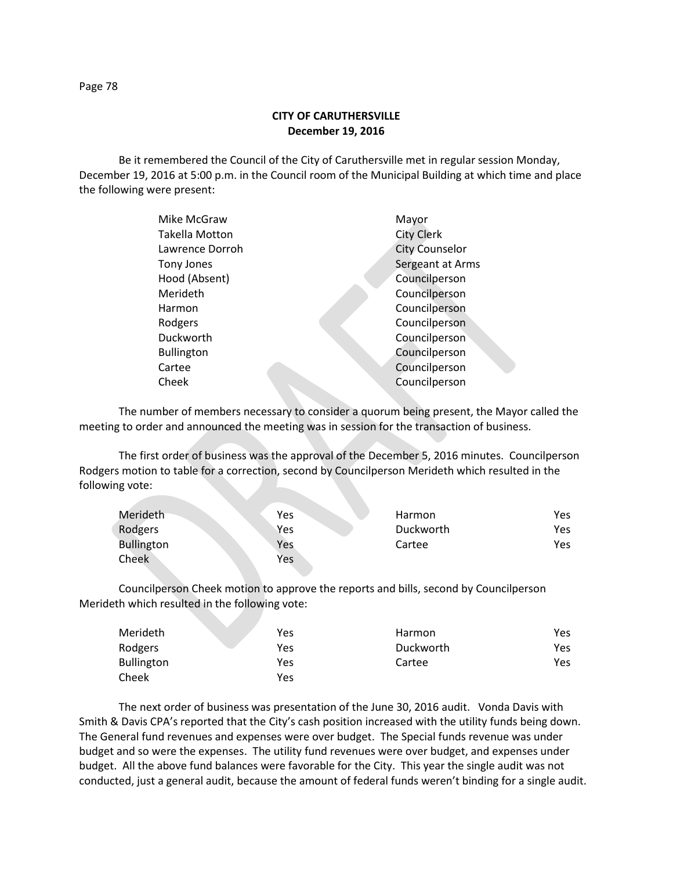**CITY OF CARUTHERSVILLE December 19, 2016**

Be it remembered the Council of the City of Caruthersville met in regular session Monday, December 19, 2016 at 5:00 p.m. in the Council room of the Municipal Building at which time and place the following were present:

| Mike McGraw       | Mayor                 |
|-------------------|-----------------------|
| Takella Motton    | <b>City Clerk</b>     |
| Lawrence Dorroh   | <b>City Counselor</b> |
| Tony Jones        | Sergeant at Arms      |
| Hood (Absent)     | Councilperson         |
| Merideth          | Councilperson         |
| Harmon            | Councilperson         |
| Rodgers           | Councilperson         |
| Duckworth         | Councilperson         |
| <b>Bullington</b> | Councilperson         |
| Cartee            | Councilperson         |
| Cheek             | Councilperson         |
|                   |                       |

The number of members necessary to consider a quorum being present, the Mayor called the meeting to order and announced the meeting was in session for the transaction of business.

The first order of business was the approval of the December 5, 2016 minutes. Councilperson Rodgers motion to table for a correction, second by Councilperson Merideth which resulted in the following vote:

| Merideth          | Yes | <b>Harmon</b> | Yes |
|-------------------|-----|---------------|-----|
| Rodgers           | Yes | Duckworth     | Yes |
| <b>Bullington</b> | Yes | Cartee        | Yes |
| Cheek             | Yes |               |     |

Councilperson Cheek motion to approve the reports and bills, second by Councilperson Merideth which resulted in the following vote:

| Merideth          | Yes | Harmon    | Yes |
|-------------------|-----|-----------|-----|
| Rodgers           | Yes | Duckworth | Yes |
| <b>Bullington</b> | Yes | Cartee    | Yes |
| Cheek             | Yes |           |     |

The next order of business was presentation of the June 30, 2016 audit. Vonda Davis with Smith & Davis CPA's reported that the City's cash position increased with the utility funds being down. The General fund revenues and expenses were over budget. The Special funds revenue was under budget and so were the expenses. The utility fund revenues were over budget, and expenses under budget. All the above fund balances were favorable for the City. This year the single audit was not conducted, just a general audit, because the amount of federal funds weren't binding for a single audit.

Page 78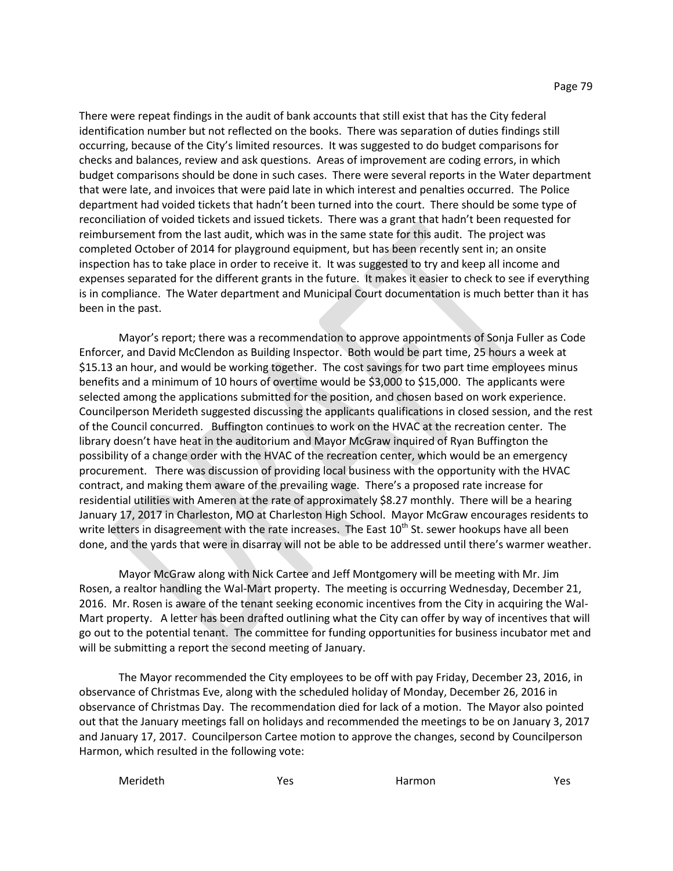There were repeat findings in the audit of bank accounts that still exist that has the City federal identification number but not reflected on the books. There was separation of duties findings still occurring, because of the City's limited resources. It was suggested to do budget comparisons for checks and balances, review and ask questions. Areas of improvement are coding errors, in which budget comparisons should be done in such cases. There were several reports in the Water department that were late, and invoices that were paid late in which interest and penalties occurred. The Police department had voided tickets that hadn't been turned into the court. There should be some type of reconciliation of voided tickets and issued tickets. There was a grant that hadn't been requested for reimbursement from the last audit, which was in the same state for this audit. The project was completed October of 2014 for playground equipment, but has been recently sent in; an onsite inspection has to take place in order to receive it. It was suggested to try and keep all income and expenses separated for the different grants in the future. It makes it easier to check to see if everything is in compliance. The Water department and Municipal Court documentation is much better than it has been in the past.

Mayor's report; there was a recommendation to approve appointments of Sonja Fuller as Code Enforcer, and David McClendon as Building Inspector. Both would be part time, 25 hours a week at \$15.13 an hour, and would be working together. The cost savings for two part time employees minus benefits and a minimum of 10 hours of overtime would be \$3,000 to \$15,000. The applicants were selected among the applications submitted for the position, and chosen based on work experience. Councilperson Merideth suggested discussing the applicants qualifications in closed session, and the rest of the Council concurred. Buffington continues to work on the HVAC at the recreation center. The library doesn't have heat in the auditorium and Mayor McGraw inquired of Ryan Buffington the possibility of a change order with the HVAC of the recreation center, which would be an emergency procurement. There was discussion of providing local business with the opportunity with the HVAC contract, and making them aware of the prevailing wage. There's a proposed rate increase for residential utilities with Ameren at the rate of approximately \$8.27 monthly. There will be a hearing January 17, 2017 in Charleston, MO at Charleston High School. Mayor McGraw encourages residents to write letters in disagreement with the rate increases. The East 10<sup>th</sup> St. sewer hookups have all been done, and the yards that were in disarray will not be able to be addressed until there's warmer weather.

Mayor McGraw along with Nick Cartee and Jeff Montgomery will be meeting with Mr. Jim Rosen, a realtor handling the Wal-Mart property. The meeting is occurring Wednesday, December 21, 2016. Mr. Rosen is aware of the tenant seeking economic incentives from the City in acquiring the Wal-Mart property. A letter has been drafted outlining what the City can offer by way of incentives that will go out to the potential tenant. The committee for funding opportunities for business incubator met and will be submitting a report the second meeting of January.

The Mayor recommended the City employees to be off with pay Friday, December 23, 2016, in observance of Christmas Eve, along with the scheduled holiday of Monday, December 26, 2016 in observance of Christmas Day. The recommendation died for lack of a motion. The Mayor also pointed out that the January meetings fall on holidays and recommended the meetings to be on January 3, 2017 and January 17, 2017. Councilperson Cartee motion to approve the changes, second by Councilperson Harmon, which resulted in the following vote:

Merideth Messen Nessen Vester Controller Marmon and Messen Vester Controller Messen Nessen Vester Controller N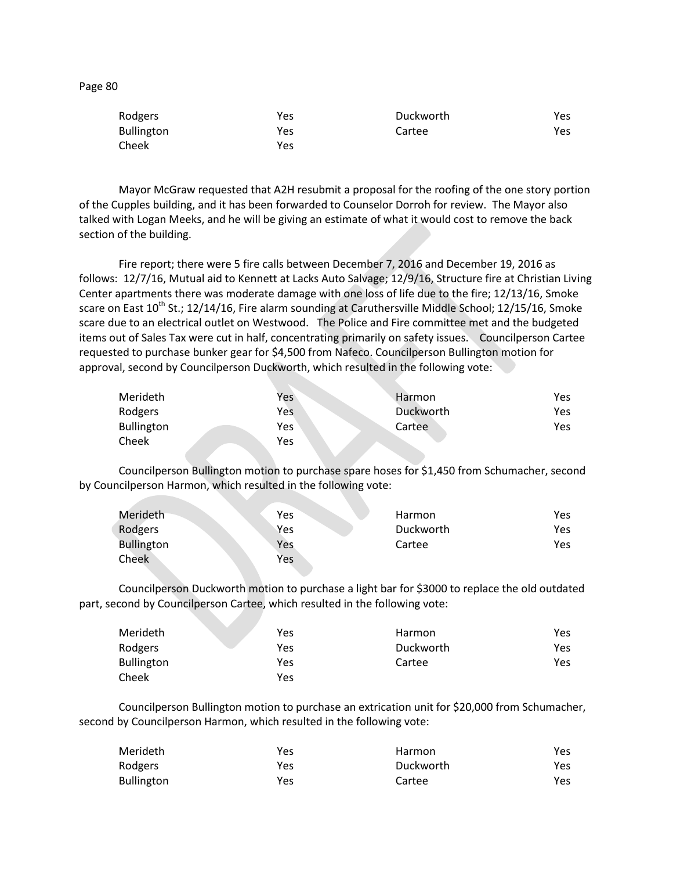| U<br>٠<br>÷ |  |
|-------------|--|
|-------------|--|

| Rodgers           | Yes | Duckworth | Yes  |
|-------------------|-----|-----------|------|
| <b>Bullington</b> | Yes | Cartee    | Yes. |
| Cheek             | Yes |           |      |

Mayor McGraw requested that A2H resubmit a proposal for the roofing of the one story portion of the Cupples building, and it has been forwarded to Counselor Dorroh for review. The Mayor also talked with Logan Meeks, and he will be giving an estimate of what it would cost to remove the back section of the building.

Fire report; there were 5 fire calls between December 7, 2016 and December 19, 2016 as follows: 12/7/16, Mutual aid to Kennett at Lacks Auto Salvage; 12/9/16, Structure fire at Christian Living Center apartments there was moderate damage with one loss of life due to the fire; 12/13/16, Smoke scare on East 10<sup>th</sup> St.; 12/14/16, Fire alarm sounding at Caruthersville Middle School; 12/15/16, Smoke scare due to an electrical outlet on Westwood. The Police and Fire committee met and the budgeted items out of Sales Tax were cut in half, concentrating primarily on safety issues. Councilperson Cartee requested to purchase bunker gear for \$4,500 from Nafeco. Councilperson Bullington motion for approval, second by Councilperson Duckworth, which resulted in the following vote:

| Merideth          | Yes | Harmon    | Yes |
|-------------------|-----|-----------|-----|
| Rodgers           | Yes | Duckworth | Yes |
| <b>Bullington</b> | Yes | Cartee    | Yes |
| Cheek             | Yes |           |     |

Councilperson Bullington motion to purchase spare hoses for \$1,450 from Schumacher, second by Councilperson Harmon, which resulted in the following vote:

| Merideth          | Yes | Harmon    | Yes        |
|-------------------|-----|-----------|------------|
| Rodgers           | Yes | Duckworth | <b>Yes</b> |
| <b>Bullington</b> | Yes | Cartee    | Yes        |
| Cheek             | Yes |           |            |

Councilperson Duckworth motion to purchase a light bar for \$3000 to replace the old outdated part, second by Councilperson Cartee, which resulted in the following vote:

| Merideth   | Yes | Harmon    | Yes |
|------------|-----|-----------|-----|
| Rodgers    | Yes | Duckworth | Yes |
| Bullington | Yes | Cartee    | Yes |
| Cheek      | Yes |           |     |

Councilperson Bullington motion to purchase an extrication unit for \$20,000 from Schumacher, second by Councilperson Harmon, which resulted in the following vote:

| Merideth          | Yes | Harmon    | Yes |
|-------------------|-----|-----------|-----|
| Rodgers           | Yes | Duckworth | Yes |
| <b>Bullington</b> | Yes | Cartee    | Yes |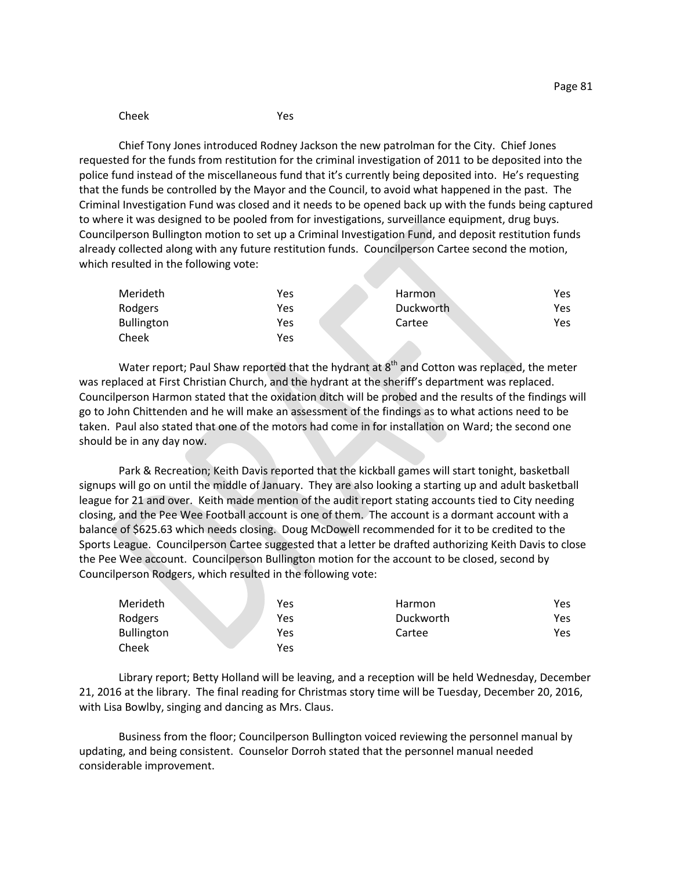#### Cheek Yes

Chief Tony Jones introduced Rodney Jackson the new patrolman for the City. Chief Jones requested for the funds from restitution for the criminal investigation of 2011 to be deposited into the police fund instead of the miscellaneous fund that it's currently being deposited into. He's requesting that the funds be controlled by the Mayor and the Council, to avoid what happened in the past. The Criminal Investigation Fund was closed and it needs to be opened back up with the funds being captured to where it was designed to be pooled from for investigations, surveillance equipment, drug buys. Councilperson Bullington motion to set up a Criminal Investigation Fund, and deposit restitution funds already collected along with any future restitution funds. Councilperson Cartee second the motion, which resulted in the following vote:

| Merideth          | Yes | <b>Harmon</b> | Yes  |
|-------------------|-----|---------------|------|
| Rodgers           | Yes | Duckworth     | Yes. |
| <b>Bullington</b> | Yes | Cartee        | Yes  |
| Cheek             | Yes |               |      |

Water report; Paul Shaw reported that the hydrant at 8<sup>th</sup> and Cotton was replaced, the meter was replaced at First Christian Church, and the hydrant at the sheriff's department was replaced. Councilperson Harmon stated that the oxidation ditch will be probed and the results of the findings will go to John Chittenden and he will make an assessment of the findings as to what actions need to be taken. Paul also stated that one of the motors had come in for installation on Ward; the second one should be in any day now.

Park & Recreation; Keith Davis reported that the kickball games will start tonight, basketball signups will go on until the middle of January. They are also looking a starting up and adult basketball league for 21 and over. Keith made mention of the audit report stating accounts tied to City needing closing, and the Pee Wee Football account is one of them. The account is a dormant account with a balance of \$625.63 which needs closing. Doug McDowell recommended for it to be credited to the Sports League. Councilperson Cartee suggested that a letter be drafted authorizing Keith Davis to close the Pee Wee account. Councilperson Bullington motion for the account to be closed, second by Councilperson Rodgers, which resulted in the following vote:

| Merideth          | Yes | Harmon    | Yes |
|-------------------|-----|-----------|-----|
| Rodgers           | Yes | Duckworth | Yes |
| <b>Bullington</b> | Yes | Cartee    | Yes |
| Cheek             | Yes |           |     |

Library report; Betty Holland will be leaving, and a reception will be held Wednesday, December 21, 2016 at the library. The final reading for Christmas story time will be Tuesday, December 20, 2016, with Lisa Bowlby, singing and dancing as Mrs. Claus.

Business from the floor; Councilperson Bullington voiced reviewing the personnel manual by updating, and being consistent. Counselor Dorroh stated that the personnel manual needed considerable improvement.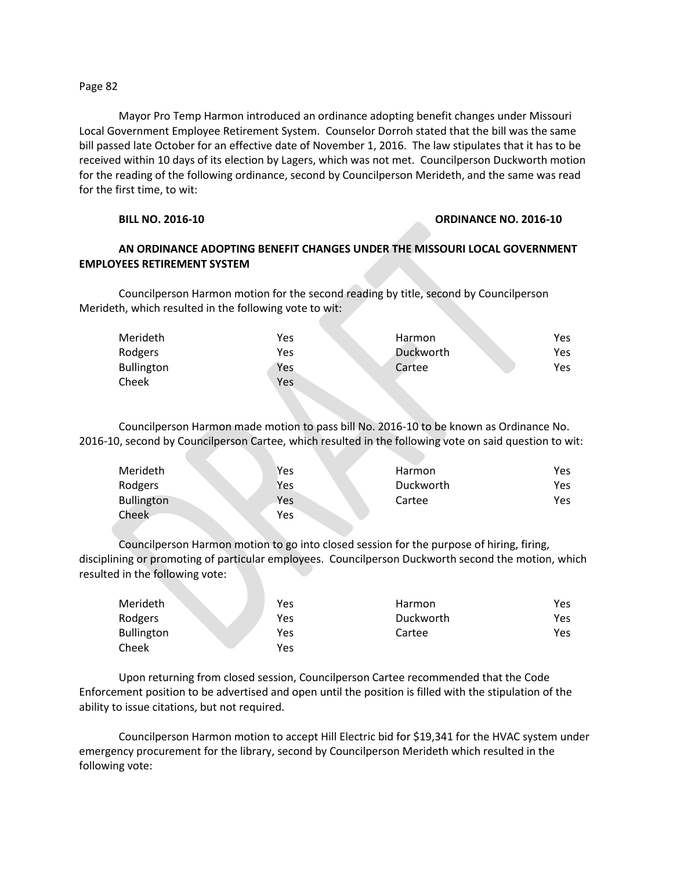### Page 82

Mayor Pro Temp Harmon introduced an ordinance adopting benefit changes under Missouri Local Government Employee Retirement System. Counselor Dorroh stated that the bill was the same bill passed late October for an effective date of November 1, 2016. The law stipulates that it has to be received within 10 days of its election by Lagers, which was not met. Councilperson Duckworth motion for the reading of the following ordinance, second by Councilperson Merideth, and the same was read for the first time, to wit:

## **BILL NO. 2016-10 ORDINANCE NO. 2016-10**

# **AN ORDINANCE ADOPTING BENEFIT CHANGES UNDER THE MISSOURI LOCAL GOVERNMENT EMPLOYEES RETIREMENT SYSTEM**

Councilperson Harmon motion for the second reading by title, second by Councilperson Merideth, which resulted in the following vote to wit:

| Merideth          | Yes | Harmon    | Yes. |
|-------------------|-----|-----------|------|
| Rodgers           | Yes | Duckworth | Yes. |
| <b>Bullington</b> | Yes | Cartee    | Yes  |
| Cheek             | Yes |           |      |

Councilperson Harmon made motion to pass bill No. 2016-10 to be known as Ordinance No. 2016-10, second by Councilperson Cartee, which resulted in the following vote on said question to wit:

| Merideth          | Yes | Harmon    | Yes |
|-------------------|-----|-----------|-----|
| Rodgers           | Yes | Duckworth | Yes |
| <b>Bullington</b> | Yes | Cartee    | Yes |
| Cheek             | Yes |           |     |

Councilperson Harmon motion to go into closed session for the purpose of hiring, firing, disciplining or promoting of particular employees. Councilperson Duckworth second the motion, which resulted in the following vote:

| Merideth          | Yes | <b>Harmon</b> | Yes |
|-------------------|-----|---------------|-----|
| Rodgers           | Yes | Duckworth     | Yes |
| <b>Bullington</b> | Yes | Cartee        | Yes |
| Cheek             | Yes |               |     |

Upon returning from closed session, Councilperson Cartee recommended that the Code Enforcement position to be advertised and open until the position is filled with the stipulation of the ability to issue citations, but not required.

Councilperson Harmon motion to accept Hill Electric bid for \$19,341 for the HVAC system under emergency procurement for the library, second by Councilperson Merideth which resulted in the following vote: